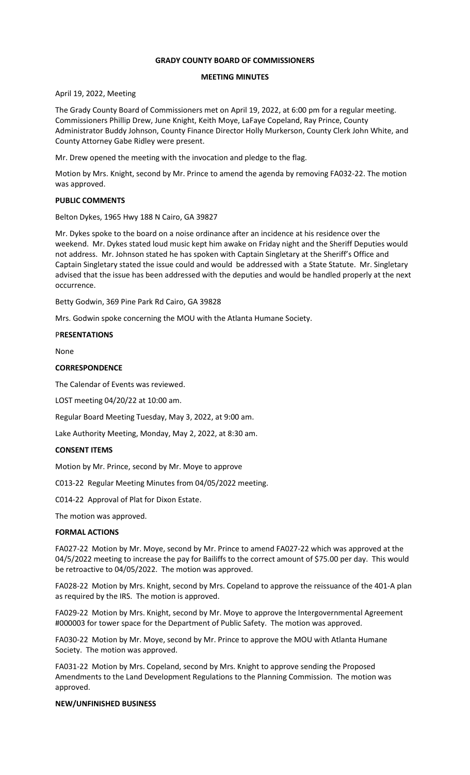# **GRADY COUNTY BOARD OF COMMISSIONERS**

### **MEETING MINUTES**

April 19, 2022, Meeting

The Grady County Board of Commissioners met on April 19, 2022, at 6:00 pm for a regular meeting. Commissioners Phillip Drew, June Knight, Keith Moye, LaFaye Copeland, Ray Prince, County Administrator Buddy Johnson, County Finance Director Holly Murkerson, County Clerk John White, and County Attorney Gabe Ridley were present.

Mr. Drew opened the meeting with the invocation and pledge to the flag.

Motion by Mrs. Knight, second by Mr. Prince to amend the agenda by removing FA032-22. The motion was approved.

#### **PUBLIC COMMENTS**

Belton Dykes, 1965 Hwy 188 N Cairo, GA 39827

Mr. Dykes spoke to the board on a noise ordinance after an incidence at his residence over the weekend. Mr. Dykes stated loud music kept him awake on Friday night and the Sheriff Deputies would not address. Mr. Johnson stated he has spoken with Captain Singletary at the Sheriff's Office and Captain Singletary stated the issue could and would be addressed with a State Statute. Mr. Singletary advised that the issue has been addressed with the deputies and would be handled properly at the next occurrence.

Betty Godwin, 369 Pine Park Rd Cairo, GA 39828

Mrs. Godwin spoke concerning the MOU with the Atlanta Humane Society.

#### P**RESENTATIONS**

None

#### **CORRESPONDENCE**

The Calendar of Events was reviewed.

LOST meeting 04/20/22 at 10:00 am.

Regular Board Meeting Tuesday, May 3, 2022, at 9:00 am.

Lake Authority Meeting, Monday, May 2, 2022, at 8:30 am.

# **CONSENT ITEMS**

Motion by Mr. Prince, second by Mr. Moye to approve

C013-22 Regular Meeting Minutes from 04/05/2022 meeting.

C014-22 Approval of Plat for Dixon Estate.

The motion was approved.

#### **FORMAL ACTIONS**

FA027-22 Motion by Mr. Moye, second by Mr. Prince to amend FA027-22 which was approved at the 04/5/2022 meeting to increase the pay for Bailiffs to the correct amount of \$75.00 per day. This would be retroactive to 04/05/2022. The motion was approved.

FA028-22 Motion by Mrs. Knight, second by Mrs. Copeland to approve the reissuance of the 401-A plan as required by the IRS. The motion is approved.

FA029-22 Motion by Mrs. Knight, second by Mr. Moye to approve the Intergovernmental Agreement #000003 for tower space for the Department of Public Safety. The motion was approved.

FA030-22 Motion by Mr. Moye, second by Mr. Prince to approve the MOU with Atlanta Humane Society. The motion was approved.

FA031-22 Motion by Mrs. Copeland, second by Mrs. Knight to approve sending the Proposed Amendments to the Land Development Regulations to the Planning Commission. The motion was approved.

# **NEW/UNFINISHED BUSINESS**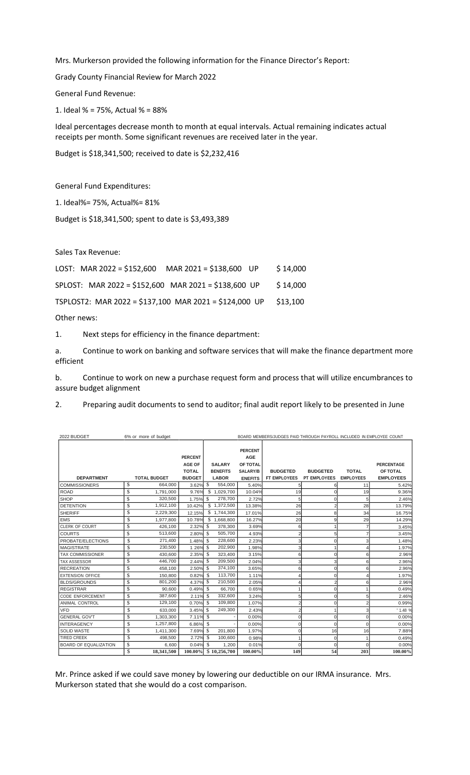Mrs. Murkerson provided the following information for the Finance Director's Report:

Grady County Financial Review for March 2022

General Fund Revenue:

1. Ideal % = 75%, Actual % = 88%

Ideal percentages decrease month to month at equal intervals. Actual remaining indicates actual receipts per month. Some significant revenues are received later in the year.

Budget is \$18,341,500; received to date is \$2,232,416

General Fund Expenditures:

1. Ideal%= 75%, Actual%= 81%

Budget is \$18,341,500; spent to date is \$3,493,389

Sales Tax Revenue:

| LOST: MAR 2022 = \$152,600 MAR 2021 = \$138,600 UP     | \$14,000 |
|--------------------------------------------------------|----------|
| SPLOST: MAR 2022 = \$152,600 MAR 2021 = \$138,600 UP   | \$14,000 |
| TSPLOST2: MAR 2022 = \$137,100 MAR 2021 = \$124,000 UP | \$13.100 |
|                                                        |          |

Other news:

1. Next steps for efficiency in the finance department:

a. Continue to work on banking and software services that will make the finance department more efficient

b. Continue to work on new a purchase request form and process that will utilize encumbrances to assure budget alignment

2. Preparing audit documents to send to auditor; final audit report likely to be presented in June

| 2022 BUDGET                  | 6% or more of budget | BOARD MEMBERS/JUDGES PAID THROUGH PAYROLL INCLUDED IN EMPLOYEE COUNT |      |                 |                |                 |                 |                  |                   |
|------------------------------|----------------------|----------------------------------------------------------------------|------|-----------------|----------------|-----------------|-----------------|------------------|-------------------|
|                              |                      |                                                                      |      |                 |                |                 |                 |                  |                   |
|                              |                      |                                                                      |      |                 | <b>PERCENT</b> |                 |                 |                  |                   |
|                              |                      | <b>PERCENT</b>                                                       |      |                 | <b>AGE</b>     |                 |                 |                  |                   |
|                              |                      | <b>AGE OF</b>                                                        |      | <b>SALARY</b>   | OF TOTAL       |                 |                 |                  | <b>PERCENTAGE</b> |
|                              |                      | <b>TOTAL</b>                                                         |      | <b>BENEFITS</b> | SALARY/B       | <b>BUDGETED</b> | <b>BUDGETED</b> | <b>TOTAL</b>     | OF TOTAL          |
| <b>DEPARTMENT</b>            | <b>TOTAL BUDGET</b>  | <b>BUDGET</b>                                                        |      | <b>LABOR</b>    | <b>ENEFITS</b> | FT EMPLOYEES    | PT EMPLOYEES    | <b>EMPLOYEES</b> | <b>EMPLOYEES</b>  |
| <b>COMMISSIONERS</b>         | \$<br>664,000        | $3.62\%$ \$                                                          |      | 554,000         | 5.40%          | 5               | 6               | 11               | 5.42%             |
| <b>ROAD</b>                  | \$<br>1,791,000      | 9.76%                                                                |      | \$1,029,700     | 10.04%         | 19              | $\Omega$        | 19               | 9.36%             |
| <b>SHOP</b>                  | \$<br>320,500        | 1.75%                                                                | -S   | 278,700         | 2.72%          |                 | $\Omega$        |                  | 2.46%             |
| <b>DETENTION</b>             | \$<br>1,912,100      | 10.42%                                                               |      | \$1,372,500     | 13.38%         | 26              | $\overline{c}$  | 28               | 13.79%            |
| <b>SHERIFF</b>               | \$<br>2,229,300      | 12.15%                                                               |      | \$1,744,300     | 17.01%         | 26              | 8               | 34               | 16.75%            |
| <b>EMS</b>                   | \$<br>1,977,800      | 10.78%                                                               |      | \$1,668,800     | 16.27%         | 20              | 9               | 29               | 14.29%            |
| <b>CLERK OF COURT</b>        | \$<br>426,100        | 2.32%                                                                | -\$  | 378,300         | 3.69%          | 6               |                 |                  | 3.45%             |
| <b>COURTS</b>                | \$<br>513,600        | 2.80%                                                                | -\$  | 505,700         | 4.93%          |                 | 5               |                  | 3.45%             |
| PROBATE/ELECTIONS            | \$<br>271,400        | 1.48%                                                                | -\$  | 228,600         | 2.23%          |                 | $\Omega$        |                  | 1.48%             |
| <b>MAGISTRATE</b>            | \$<br>230,500        | 1 26%                                                                | l \$ | 202,900         | 1.98%          |                 |                 |                  | 1.97%             |
| <b>TAX COMMISSIONER</b>      | \$<br>430,600        | 2.35%                                                                | - \$ | 323,400         | 3.15%          |                 | $\Omega$        |                  | 2.96%             |
| <b>TAX ASSESSOR</b>          | \$<br>446,700        | 2.44% \$                                                             |      | 209,500         | 2.04%          |                 | 3               |                  | 2.96%             |
| <b>RECREATION</b>            | \$<br>458,100        | 2.50% \$                                                             |      | 374,100         | 3.65%          | հ               | $\Omega$        | 6                | 2.96%             |
| <b>EXTENSION OFFICE</b>      | \$<br>150,800        | 0.82%                                                                | - \$ | 113,700         | 1.11%          |                 | $\Omega$        |                  | 1.97%             |
| <b>BLDS/GROUNDS</b>          | \$<br>801,200        | 4.37% \$                                                             |      | 210,500         | 2.05%          |                 |                 |                  | 2.96%             |
| <b>REGISTRAR</b>             | \$<br>90.600         | 0.49%                                                                | -S   | 66.700          | 0.65%          |                 | $\Omega$        |                  | 0.49%             |
| <b>CODE ENFORCEMENT</b>      | \$<br>387,600        | 2.11%                                                                | - \$ | 332,600         | 3.24%          |                 | $\Omega$        |                  | 2.46%             |
| <b>ANIMAL CONTROL</b>        | \$<br>129,100        | 0.70%                                                                | -S   | 109,800         | 1.07%          |                 | $\Omega$        |                  | 0.99%             |
| <b>VFD</b>                   | \$<br>633,000        | 3.45%                                                                | -\$  | 249,300         | 2.43%          |                 |                 |                  | 1.48%             |
| <b>GENERAL GOV'T</b>         | \$<br>1,303,300      | 7.11% \$                                                             |      |                 | 0.00%          |                 | $\Omega$        | Ò                | 0.00%             |
| <b>INTERAGENCY</b>           | \$<br>1,257,800      | 6.86%                                                                | -\$  |                 | 0.00%          | O               | $\Omega$        | $\Omega$         | 0.00%             |
| <b>SOLID WASTE</b>           | \$<br>1,411,300      | 7.69% \$                                                             |      | 201,800         | 1.97%          | $\Omega$        | 16              | 16               | 7.88%             |
| <b>TIRED CREEK</b>           | \$<br>498,500        | 2.72%                                                                | - \$ | 100,600         | 0.98%          |                 | $\Omega$        |                  | 0.49%             |
| <b>BOARD OF EQUALIZATION</b> | \$<br>6,600          | $0.04\%$ \$                                                          |      | 1,200           | 0.01%          |                 | $\Omega$        |                  | 0.00%             |
|                              | \$<br>18,341,500     | 100.00%                                                              |      | \$10,256,700    | 100.00%        | 149             | 54              | 203              | 100.00%           |

Mr. Prince asked if we could save money by lowering our deductible on our IRMA insurance. Mrs. Murkerson stated that she would do a cost comparison.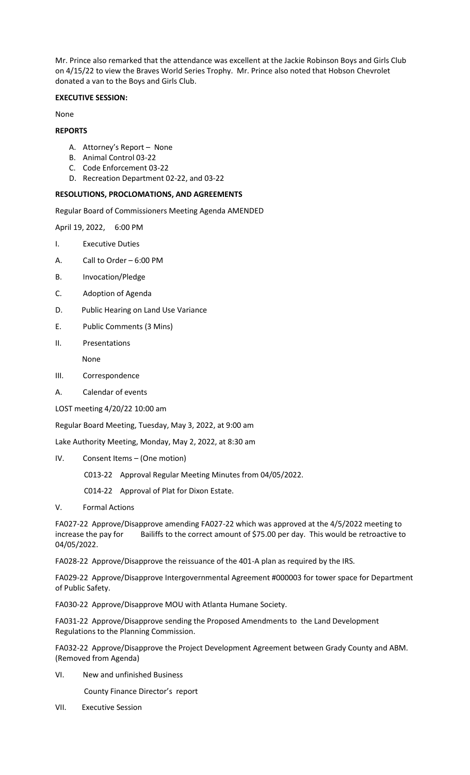Mr. Prince also remarked that the attendance was excellent at the Jackie Robinson Boys and Girls Club on 4/15/22 to view the Braves World Series Trophy. Mr. Prince also noted that Hobson Chevrolet donated a van to the Boys and Girls Club.

# **EXECUTIVE SESSION:**

None

### **REPORTS**

- A. Attorney's Report None
- B. Animal Control 03-22
- C. Code Enforcement 03-22
- D. Recreation Department 02-22, and 03-22

### **RESOLUTIONS, PROCLOMATIONS, AND AGREEMENTS**

Regular Board of Commissioners Meeting Agenda AMENDED

April 19, 2022, 6:00 PM

- I. Executive Duties
- A. Call to Order 6:00 PM
- B. Invocation/Pledge
- C. Adoption of Agenda
- D. Public Hearing on Land Use Variance
- E. Public Comments (3 Mins)
- II. Presentations

None

- III. Correspondence
- A. Calendar of events

LOST meeting 4/20/22 10:00 am

Regular Board Meeting, Tuesday, May 3, 2022, at 9:00 am

Lake Authority Meeting, Monday, May 2, 2022, at 8:30 am

IV. Consent Items – (One motion)

C013-22 Approval Regular Meeting Minutes from 04/05/2022.

C014-22 Approval of Plat for Dixon Estate.

V. Formal Actions

FA027-22 Approve/Disapprove amending FA027-22 which was approved at the 4/5/2022 meeting to increase the pay for Bailiffs to the correct amount of \$75.00 per day. This would be retroactive to 04/05/2022.

FA028-22 Approve/Disapprove the reissuance of the 401-A plan as required by the IRS.

FA029-22 Approve/Disapprove Intergovernmental Agreement #000003 for tower space for Department of Public Safety.

FA030-22 Approve/Disapprove MOU with Atlanta Humane Society.

FA031-22 Approve/Disapprove sending the Proposed Amendments to the Land Development Regulations to the Planning Commission.

FA032-22 Approve/Disapprove the Project Development Agreement between Grady County and ABM. (Removed from Agenda)

VI. New and unfinished Business

County Finance Director's report

VII. Executive Session